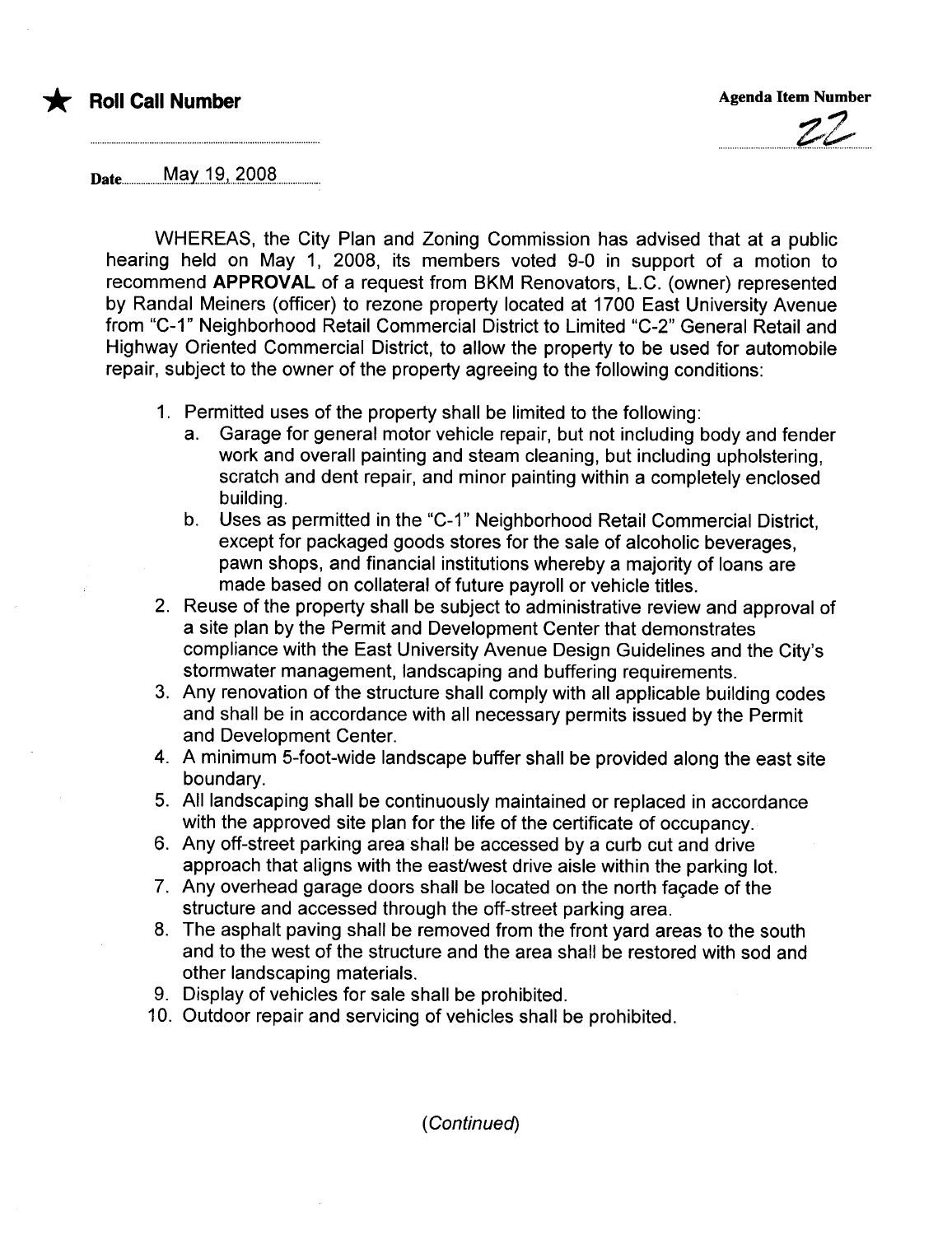

Date...............Ma.Y....~.I...?.Q.QJL...............

WHEREAS, the City Plan and Zoning Commission has advised that at a public hearing held on May 1, 2008, its members voted 9-0 in support of a motion to recommend APPROVAL of a request from BKM Renovators, L.C. (owner) represented by Randal Meiners (officer) to rezone property located at 1700 East University Avenue from "C\_1" Neighborhood Retail Commercial District to Limited "C-2" General Retail and Highway Oriented Commercial District, to allow the property to be used for automobile repair, subject to the owner of the property agreeing to the following conditions:

- 1. Permitted uses of the property shall be limited to the following:
	- a. Garage for general motor vehicle repair, but not including body and fender work and overall painting and steam cleaning, but including upholstering, scratch and dent repair, and minor painting within a completely enclosed building.
	- b. Uses as permitted in the "C\_1" Neighborhood Retail Commercial District, except for packaged goods stores for the sale of alcoholic beverages, pawn shops, and financial institutions whereby a majority of loans are made based on collateral of future payroll or vehicle titles.
- 2. Reuse of the property shall be subject to administrative review and approval of a site plan by the Permit and Development Center that demonstrates compliance with the East University Avenue Design Guidelines and the City's stormwater management, landscaping and buffering requirements.
- 3. Any renovation of the structure shall comply with all applicable building codes and shall be in accordance with all necessary permits issued by the Permit and Development Center.
- 4. A minimum 5-foot-wide landscape buffer shall be provided along the east site boundary.
- 5. All landscaping shall be continuously maintained or replaced in accordance with the approved site plan for the life of the certificate of occupancy.
- 6. Any off-street parking area shall be accessed by a curb cut and drive approach that aligns with the east/west drive aisle within the parking lot.
- 7. Any overhead garage doors shall be located on the north façade of the structure and accessed through the off-street parking area.
- 8. The asphalt paving shall be removed from the front yard areas to the south and to the west of the structure and the area shall be restored with sod and other landscaping materials.
- 9. Display of vehicles for sale shall be prohibited.
- 10. Outdoor repair and servicing of vehicles shall be prohibited.

( Continued)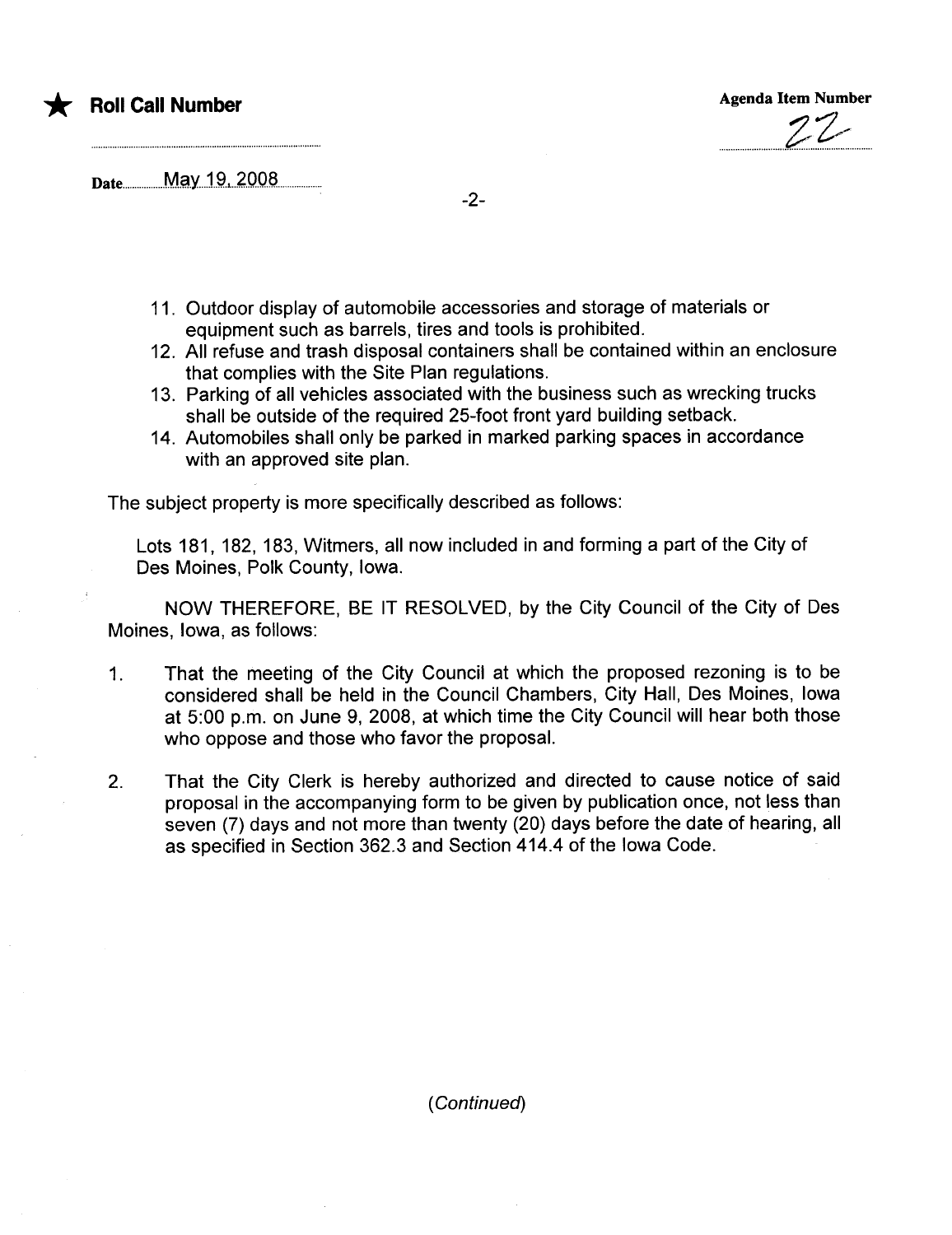|  | <b>Roll Call Num</b> |
|--|----------------------|
|  |                      |



Date..................M.ay...1Jt..4.Q.QS...................

- 11. Outdoor display of automobile accessories and storage of materials or equipment such as barrels, tires and tools is prohibited.
- 12. All refuse and trash disposal containers shall be contained within an enclosure that complies with the Site Plan regulations.
- 13. Parking of all vehicles associated with the business such as wrecking trucks shall be outside of the required 25-foot front yard building setback.
- 14. Automobiles shall only be parked in marked parking spaces in accordance with an approved site plan.

The subject property is more specifically described as follows:

Lots 181, 182, 183, Witmers, all now included in and forming a part of the City of Des Moines, Polk County, Iowa.

NOW THEREFORE, BE IT RESOLVED, by the City Council of the City of Des Moines, Iowa, as follows:

- 1. That the meeting of the City Council at which the proposed rezoning is to be considered shall be held in the Council Chambers, City Hall, Des Moines, Iowa at 5:00 p.m. on June 9, 2008, at which time the City Council will hear both those who oppose and those who favor the proposal.
- 2. That the City Clerk is hereby authorized and directed to cause notice of said proposal in the accompanying form to be given by publication once, not less than seven (7) days and not more than twenty (20) days before the date of hearing, all as specified in Section 362.3 and Section 414.4 of the Iowa Code.

( Continued)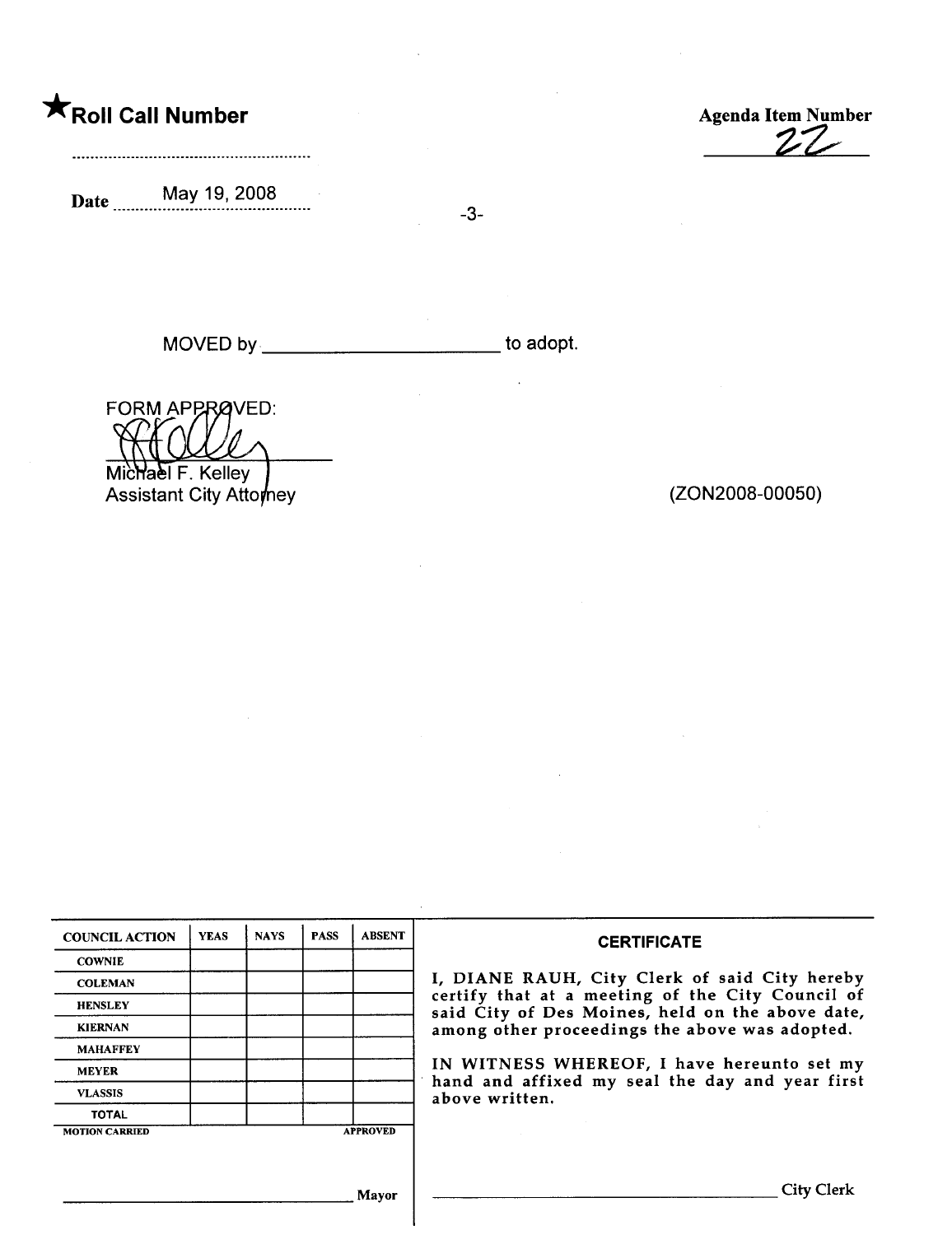# **\***Roll Call Number Agenda Item Number

Date May 19, 2008<br>1-3-

 $27$ 

 $\mathbf{r}$ 

MOVED by \_\_\_\_\_\_\_\_\_\_\_\_\_\_\_\_\_\_\_\_\_\_\_\_\_\_\_\_ to adopt.

FORM APPROVED:

Michael F. Kelley Assistant City Attorney and the Contract of the CON2008-00050)

| <b>COUNCIL ACTION</b> | <b>YEAS</b> | <b>NAYS</b> | <b>PASS</b> | <b>ABSENT</b>   | <b>CERTIFICATE</b>                                                                                   |
|-----------------------|-------------|-------------|-------------|-----------------|------------------------------------------------------------------------------------------------------|
| <b>COWNIE</b>         |             |             |             |                 |                                                                                                      |
| <b>COLEMAN</b>        |             |             |             |                 | I, DIANE RAUH, City Clerk of said City hereby                                                        |
| <b>HENSLEY</b>        |             |             |             |                 | certify that at a meeting of the City Council of<br>said City of Des Moines, held on the above date, |
| <b>KIERNAN</b>        |             |             |             |                 | among other proceedings the above was adopted.                                                       |
| <b>MAHAFFEY</b>       |             |             |             |                 |                                                                                                      |
| <b>MEYER</b>          |             |             |             |                 | IN WITNESS WHEREOF, I have hereunto set my<br>hand and affixed my seal the day and year first        |
| <b>VLASSIS</b>        |             |             |             |                 | above written.                                                                                       |
| <b>TOTAL</b>          |             |             |             |                 |                                                                                                      |
| <b>MOTION CARRIED</b> |             |             |             | <b>APPROVED</b> |                                                                                                      |
|                       |             |             |             |                 |                                                                                                      |
|                       |             |             |             | Mayor           | <b>City Clerk</b>                                                                                    |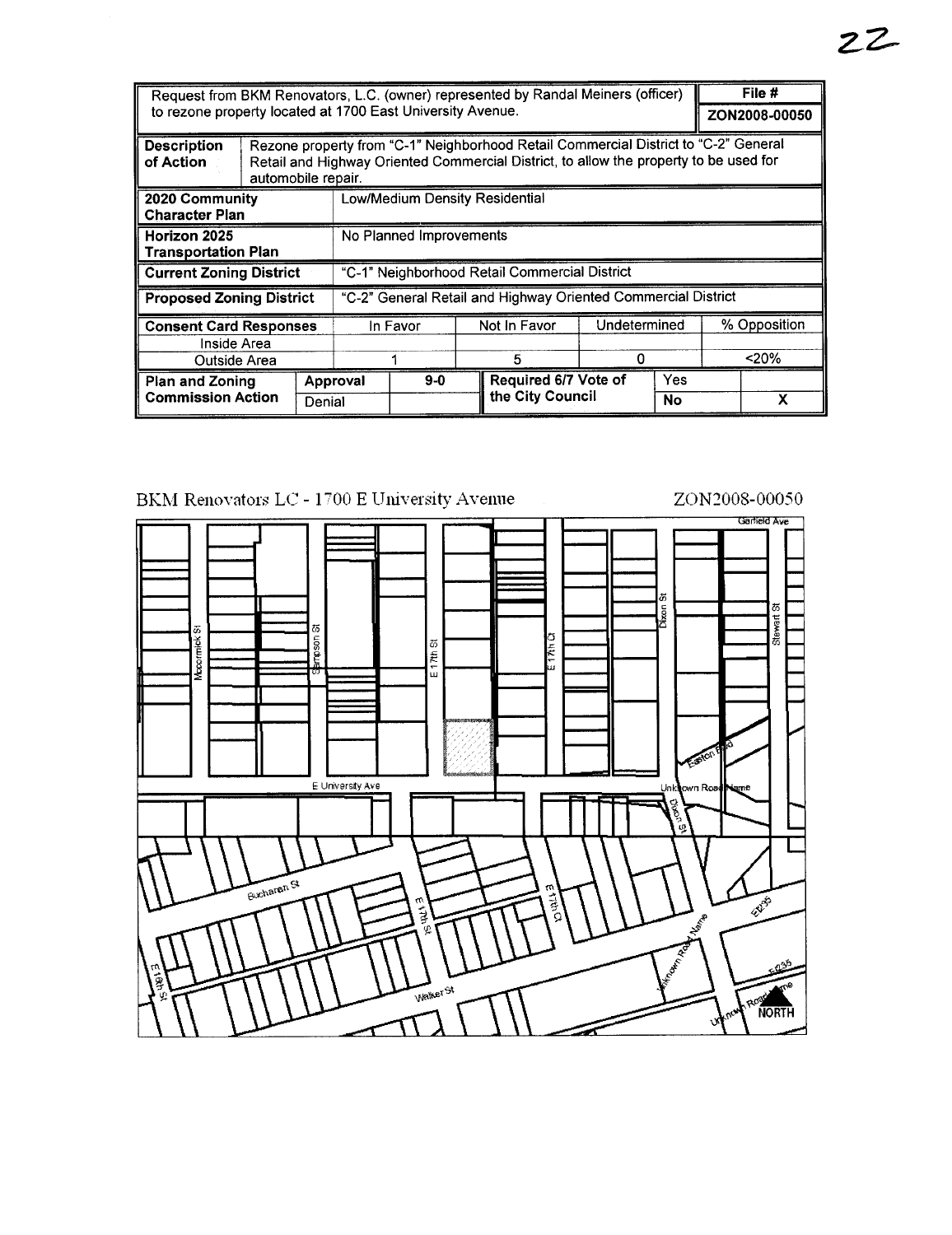|                                                              |                    |        |          |                                | Request from BKM Renovators, L.C. (owner) represented by Randal Meiners (officer)                                                                                            |                   |           | File #                |
|--------------------------------------------------------------|--------------------|--------|----------|--------------------------------|------------------------------------------------------------------------------------------------------------------------------------------------------------------------------|-------------------|-----------|-----------------------|
| to rezone property located at 1700 East University Avenue.   |                    |        |          |                                |                                                                                                                                                                              |                   |           | ZON2008-00050         |
| <b>Description</b><br>of Action                              | automobile repair. |        |          |                                | Rezone property from "C-1" Neighborhood Retail Commercial District to "C-2" General<br>Retail and Highway Oriented Commercial District, to allow the property to be used for |                   |           |                       |
| 2020 Community<br><b>Character Plan</b>                      |                    |        |          | Low/Medium Density Residential |                                                                                                                                                                              |                   |           |                       |
| Horizon 2025<br><b>Transportation Plan</b>                   |                    |        |          | No Planned Improvements        |                                                                                                                                                                              |                   |           |                       |
| <b>Current Zoning District</b>                               |                    |        |          |                                | "C-1" Neighborhood Retail Commercial District                                                                                                                                |                   |           |                       |
| <b>Proposed Zoning District</b>                              |                    |        |          |                                | "C-2" General Retail and Highway Oriented Commercial District                                                                                                                |                   |           |                       |
| <b>Consent Card Responses</b><br>Inside Area<br>Outside Area |                    |        |          | In Favor                       | Not In Favor<br>5                                                                                                                                                            | Undetermined<br>0 |           | % Opposition<br>$20%$ |
| <b>Plan and Zoning</b><br><b>Commission Action</b>           |                    | Denial | Approval | $9 - 0$                        | Required 6/7 Vote of<br>the City Council                                                                                                                                     |                   | Yes<br>No | Х                     |

BKM Renovators LC - 1700 E University Avenue

ZON2008-00050

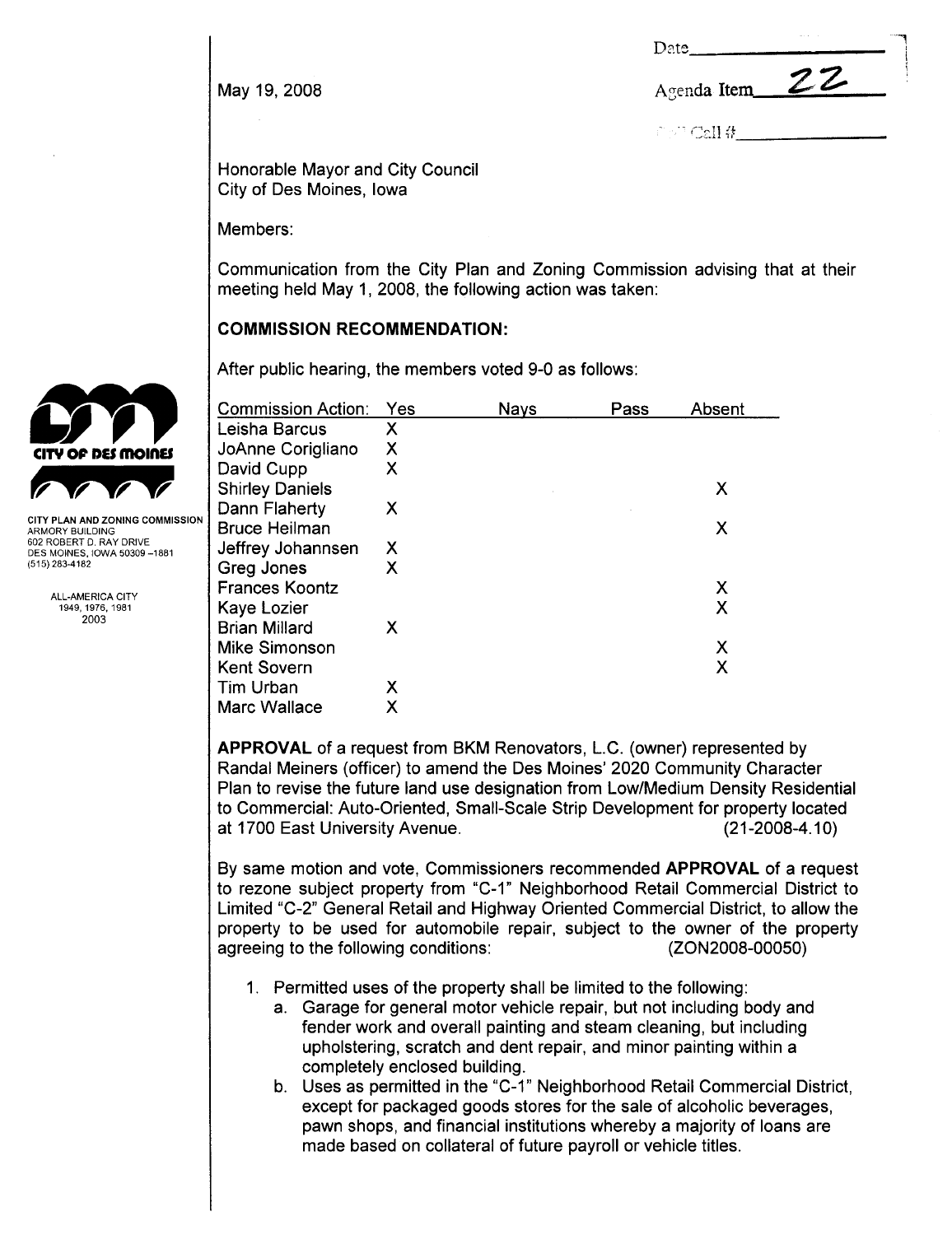May 19, 2008  $\overline{22}$ 

"-i 1

 $\cap \cap \operatorname{Call} \#$  :

Honorable Mayor and City Council City of Des Moines, Iowa

Members:

Communication from the City Plan and Zoning Commission advising that at their meeting held May 1, 2008, the following action was taken:

# COMMISSION RECOMMENDATION:

|                                                        | After public hearing, the members voted 9-0 as follows: |     |             |      |        |
|--------------------------------------------------------|---------------------------------------------------------|-----|-------------|------|--------|
|                                                        | <b>Commission Action:</b>                               | Yes | <b>Nays</b> | Pass | Absent |
|                                                        | Leisha Barcus                                           | X   |             |      |        |
| CITY OF DES MOINES                                     | JoAnne Corigliano                                       | X   |             |      |        |
|                                                        | David Cupp                                              | X   |             |      |        |
|                                                        | <b>Shirley Daniels</b>                                  |     |             |      | X      |
|                                                        | Dann Flaherty                                           | X   |             |      |        |
| CITY PLAN AND ZONING COMMISSION<br>ARMORY BUILDING     | <b>Bruce Heilman</b>                                    |     |             |      | X      |
| 602 ROBERT D. RAY DRIVE<br>DES MOINES, IOWA 50309-1881 | Jeffrey Johannsen                                       | X   |             |      |        |
| (515) 283-4182                                         | Greg Jones                                              | X   |             |      |        |
| ALL-AMERICA CITY                                       | <b>Frances Koontz</b>                                   |     |             |      | Х      |
| 1949, 1976, 1981                                       | Kaye Lozier                                             |     |             |      | Χ      |
| 2003                                                   | <b>Brian Millard</b>                                    | X   |             |      |        |
|                                                        | Mike Simonson                                           |     |             |      | X      |
|                                                        | <b>Kent Sovern</b>                                      |     |             |      | X      |
|                                                        | <b>Tim Urban</b>                                        | Х   |             |      |        |
|                                                        | <b>Marc Wallace</b>                                     | Χ   |             |      |        |

APPROVAL of a request from BKM Renovators, L.C. (owner) represented by Randal Meiners (officer) to amend the Des Moines' 2020 Community Character Plan to revise the future land use designation from Low/Medium Density Residential to Commercial: Auto-Oriented, Small-Scale Strip Development for property located at 1700 East University Avenue. (21-2008-4.10)

By same motion and vote, Commissioners recommended APPROVAL of a request to rezone subject property from "C\_1" Neighborhood Retail Commercial District to Limited "C\_2" General Retail and Highway Oriented Commercial District, to allow the property to be used for automobile repair, subject to the owner of the property agreeing to the following conditions: (ZON2008-00050)

- 1. Permitted uses of the property shall be limited to the following:
	- a. Garage for general motor vehicle repair, but not including body and fender work and overall painting and steam cleaning, but including upholstering, scratch and dent repair, and minor painting within a completely enclosed building.
	- b. Uses as permitted in the "C-1" Neighborhood Retail Commercial District, except for packaged goods stores for the sale of alcoholic beverages, pawn shops, and financial institutions whereby a majority of loans are made based on collateral of future payroll or vehicle titles.

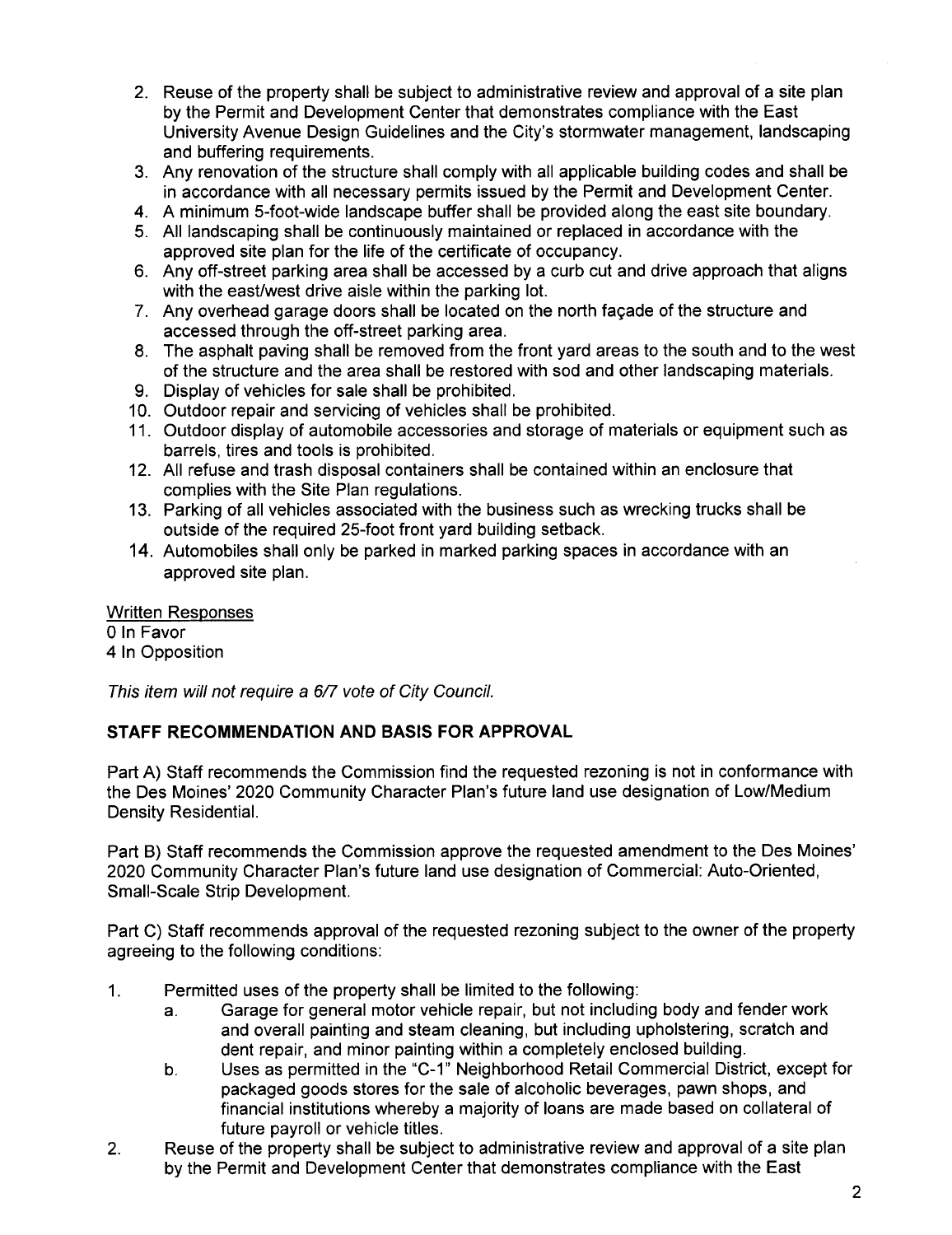- 2. Reuse of the property shall be subject to administrative review and approval of a site plan by the Permit and Development Center that demonstrates compliance with the East University Avenue Design Guidelines and the City's stormwater management, landscaping and buffering requirements.
- 3. Any renovation of the structure shall comply with all applicable building codes and shall be in accordance with all necessary permits issued by the Permit and Development Center.
- 4. A minimum 5-foot-wide landscape buffer shall be provided along the east site boundary.
- 5. All landscaping shall be continuously maintained or replaced in accordance with the approved site plan for the life of the certificate of occupancy.
- 6. Any off-street parking area shall be accessed by a curb cut and drive approach that aligns with the east/west drive aisle within the parking lot.
- 7. Any overhead garage doors shall be located on the north façade of the structure and accessed through the off-street parking area.
- 8. The asphalt paving shall be removed from the front yard areas to the south and to the west of the structure and the area shall be restored with sod and other landscaping materials.
- 9. Display of vehicles for sale shall be prohibited.
- 10. Outdoor repair and servicing of vehicles shall be prohibited.
- 11. Outdoor display of automobile accessories and storage of materials or equipment such as barrels, tires and tools is prohibited.
- 12. All refuse and trash disposal containers shall be contained within an enclosure that complies with the Site Plan regulations.
- 13. Parking of all vehicles associated with the business such as wrecking trucks shall be outside of the required 25-foot front yard building setback.
- 14. Automobiles shall only be parked in marked parking spaces in accordance with an approved site plan.

Written Responses o In Favor 4 In Opposition

This item will not require a 6/7 vote of City Council.

# STAFF RECOMMENDATION AND BASIS FOR APPROVAL

Part A) Staff recommends the Commission find the requested rezoning is not in conformance with the Des Moines' 2020 Community Character Plan's future land use designation of Low/Medium Density ResidentiaL.

Part B) Staff recommends the Commission approve the requested amendment to the Des Moines' 2020 Community Character Plan's future land use designation of Commercial: Auto-Oriented, Small-Scale Strip Development.

Part C) Staff recommends approval of the requested rezoning subject to the owner of the property agreeing to the following conditions:

- 1. Permitted uses of the property shall be limited to the following:
	- a. Garage for general motor vehicle repair, but not including body and fender work and overall painting and steam cleaning, but including upholstering, scratch and dent repair, and minor painting within a completely enclosed building.
	- b. Uses as permitted in the "C-1" Neighborhood Retail Commercial District, except for packaged goods stores for the sale of alcoholic beverages, pawn shops, and financial institutions whereby a majority of loans are made based on collateral of future payroll or vehicle titles.
- 2. Reuse of the property shall be subject to administrative review and approval of a site plan by the Permit and Development Center that demonstrates compliance with the East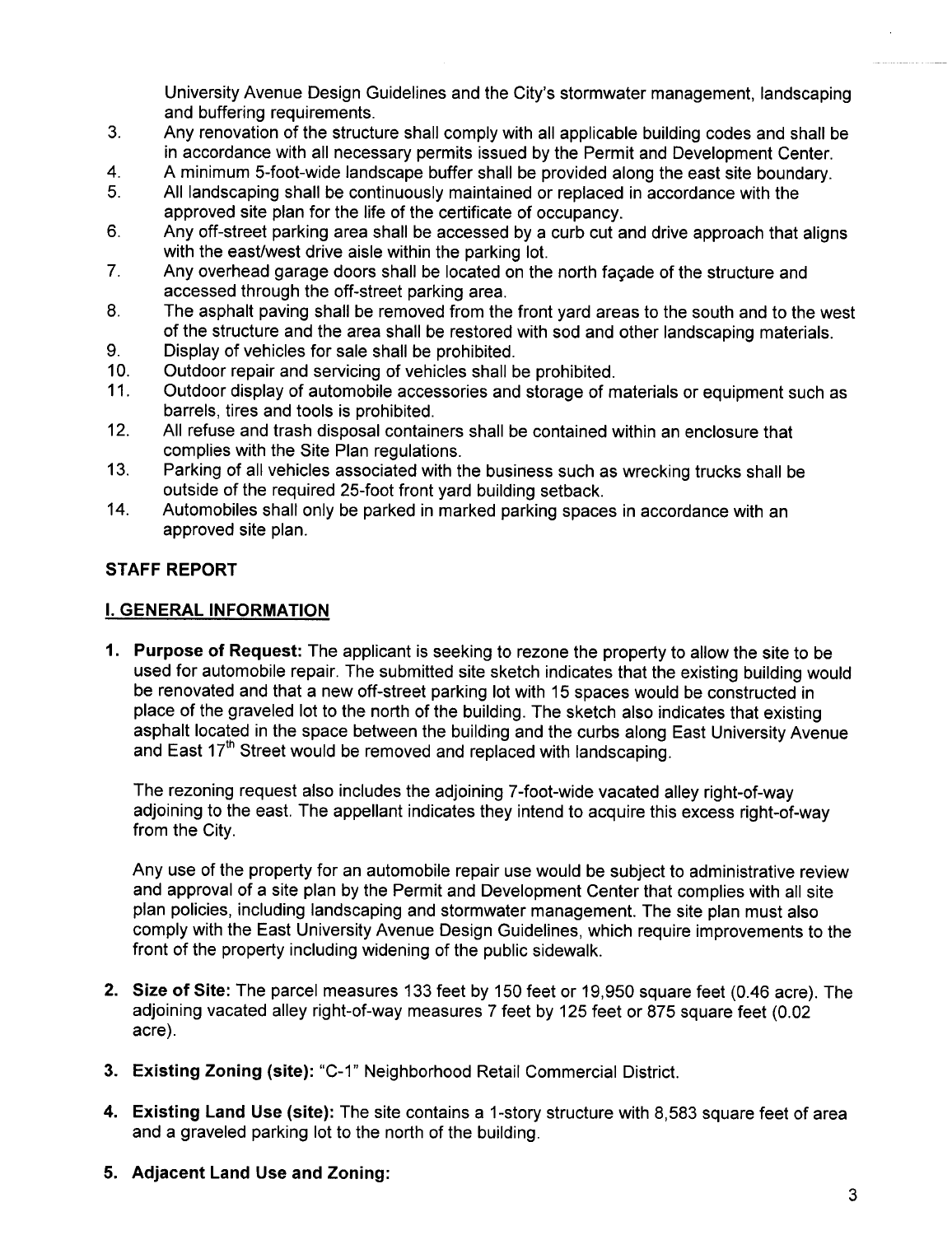University Avenue Design Guidelines and the City's stormwater management, landscaping and buffering requirements.

- 3. Any renovation of the structure shall comply with all applicable building codes and shall be in accordance with all necessary permits issued by the Permit and Development Center.
- 4. A minimum 5-foot-wide landscape buffer shall be provided along the east site boundary.
- 5. All landscaping shall be continuously maintained or replaced in accordance with the approved site plan for the life of the certificate of occupancy.
- 6. Any off-street parking area shall be accessed by a curb cut and drive approach that aligns with the east/west drive aisle within the parking lot.
- 7. Any overhead garage doors shall be located on the north façade of the structure and accessed through the off-street parking area.
- 8. The asphalt paving shall be removed from the front yard areas to the south and to the west of the structure and the area shall be restored with sod and other landscaping materials.
- 9. Display of vehicles for sale shall be prohibited.
- 10. Outdoor repair and servicing of vehicles shall be prohibited.
- 11. Outdoor display of automobile accessories and storage of materials or equipment such as barrels, tires and tools is prohibited.
- 12. All refuse and trash disposal containers shall be contained within an enclosure that complies with the Site Plan regulations.
- 13. Parking of all vehicles associated with the business such as wrecking trucks shall be outside of the required 25-foot front yard building setback.
- 14. Automobiles shall only be parked in marked parking spaces in accordance with an approved site plan.

# STAFF REPORT

# i. GENERAL INFORMATION

1. Purpose of Request: The applicant is seeking to rezone the property to allow the site to be used for automobile repair. The submitted site sketch indicates that the existing building would be renovated and that a new off-street parking lot with 15 spaces would be constructed in place of the graveled lot to the north of the building. The sketch also indicates that existing asphalt located in the space between the building and the curbs along East University Avenue and East 17<sup>th</sup> Street would be removed and replaced with landscaping.

The rezoning request also includes the adjoining 7 -foot-wide vacated alley right-of-way adjoining to the east. The appellant indicates they intend to acquire this excess right-of-way from the City.

Any use of the property for an automobile repair use would be subject to administrative review and approval of a site plan by the Permit and Development Center that complies with all site plan policies, including landscaping and stormwater management. The site plan must also comply with the East University Avenue Design Guidelines, which require improvements to the front of the property including widening of the public sidewalk.

- 2. Size of Site: The parcel measures 133 feet by 150 feet or 19,950 square feet (0.46 acre). The adjoining vacated alley right-of-way measures 7 feet by 125 feet or 875 square feet (0.02 acre) .
- 3. Existing Zoning (site): "C-1" Neighborhood Retail Commercial District.
- 4. Existing Land Use (site): The site contains a 1-story structure with 8,583 square feet of area and a graveled parking lot to the north of the building.
- 5. Adjacent Land Use and Zoning: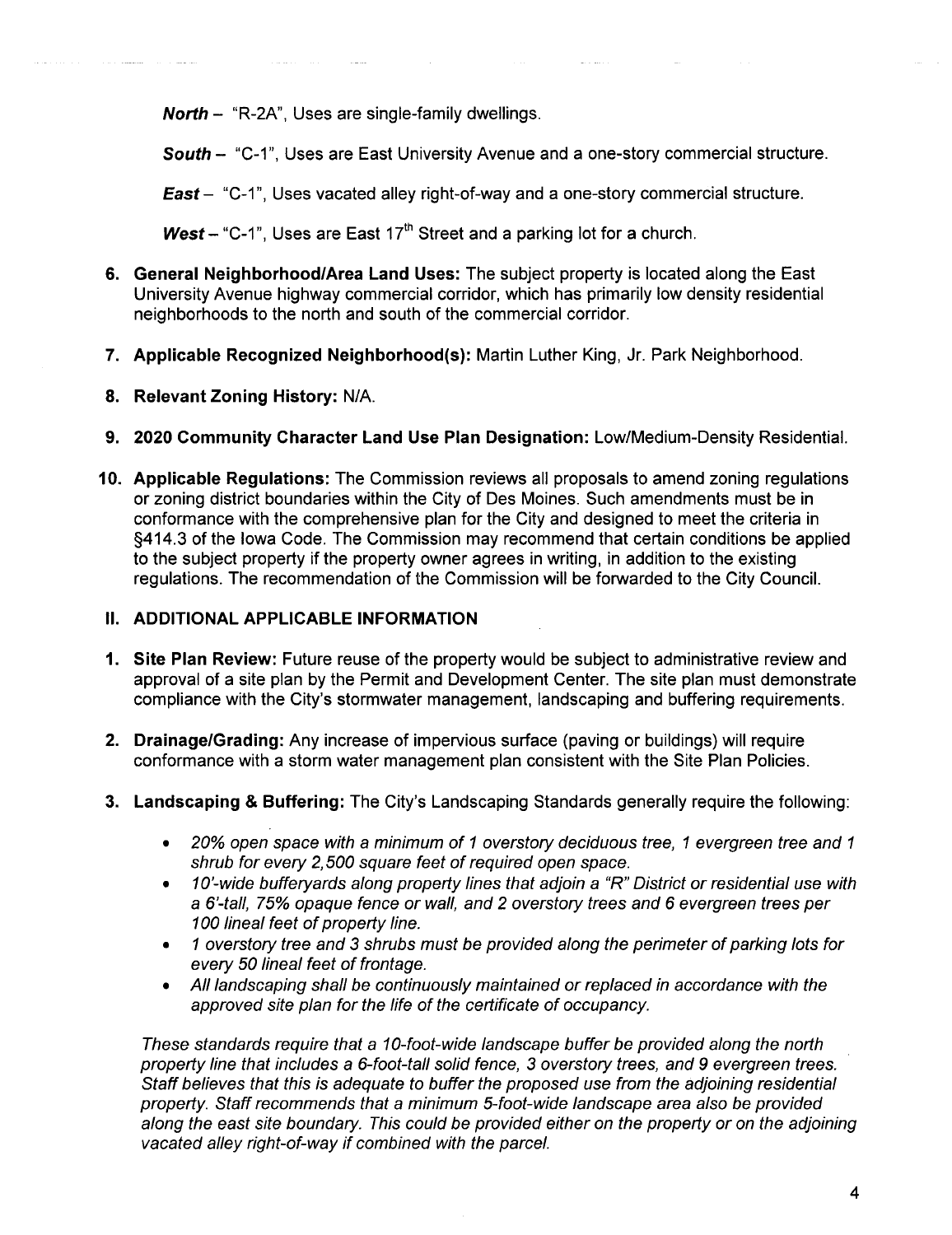**North - "R-2A", Uses are single-family dwellings.** 

South - "C-1", Uses are East University Avenue and a one-story commercial structure.

**East**  $-$  "C-1", Uses vacated alley right-of-way and a one-story commercial structure.

West - "C-1", Uses are East 17<sup>th</sup> Street and a parking lot for a church.

- 6. General Neighborhood/Area Land Uses: The subject property is located along the East University Avenue highway commercial corridor, which has primarily low density residential neighborhoods to the north and south of the commercial corridor.
- 7. Applicable Recognized Neighborhood(s): Martin Luther King, Jr. Park Neighborhood.
- 8. Relevant Zoning History: N/A.
- 9. 2020 Community Character Land Use Plan Designation: Low/Medium-Density Residential.
- 10. Applicable Regulations: The Commission reviews all proposals to amend zoning regulations or zoning district boundaries within the City of Des Moines. Such amendments must be in conformance with the comprehensive plan for the City and designed to meet the criteria in §414.3 of the Iowa Code. The Commission may recommend that certain conditions be applied to the subject property if the property owner agrees in writing, in addition to the existing regulations. The recommendation of the Commission will be forwarded to the City CounciL.

### **II. ADDITIONAL APPLICABLE INFORMATION**

- 1. Site Plan Review: Future reuse of the property would be subject to administrative review and approval of a site plan by the Permit and Development Center. The site plan must demonstrate compliance with the City's stormwater management, landscaping and buffering requirements.
- 2. Drainage/Grading: Any increase of impervious surface (paving or buildings) will require conformance with a storm water management plan consistent with the Site Plan Policies.
- 3. Landscaping & Buffering: The City's Landscaping Standards generally require the following:
	- . 20% open space with a minimum of 1 overstory deciduous tree, 1 evergreen tree and 1 shrub for every 2,500 square feet of required open space.
	- . 10'-wide bufferyards along property lines that adjoin a "R" District or residential use with a 6'-tall, 75% opaque fence or wall, and 2 overstory trees and 6 evergreen trees per 100 lineal feet of property line.
	- . 1 overstory tree and 3 shrubs must be provided along the perimeter of parking lots for every 50 lineal feet of frontage.
	- . All landscaping shall be continuously maintained or replaced in accordance with the approved site plan for the life of the certificate of occupancy.

These standards require that a 10-foot-wide landscape buffer be provided along the north property line that includes a 6-foot-tall solid fence, 3 overstory trees, and 9 evergreen trees. Staff believes that this is adequate to buffer the proposed use from the adjoining residential property. Staff recommends that a minimum 5-foot-wide landscape area a/so be provided along the east site boundary. This could be provided either on the property or on the adjoining vacated alley right-of-way if combined with the parcel.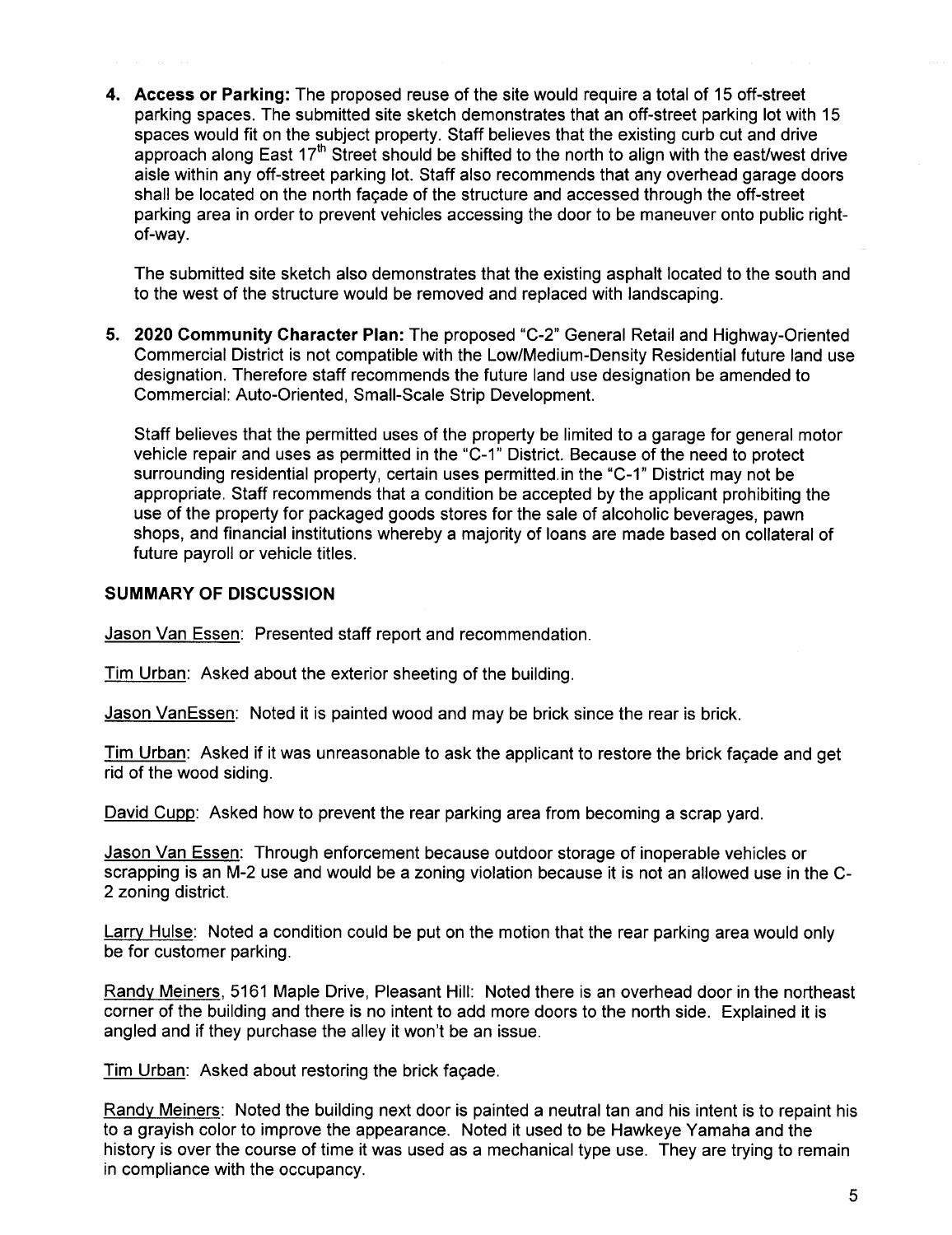4. Access or Parking: The proposed reuse of the site would require a total of 15 off-street parking spaces. The submitted site sketch demonstrates that an off-street parking lot with 15 spaces would fit on the subject property. Staff believes that the existing curb cut and drive approach along East  $17<sup>th</sup>$  Street should be shifted to the north to align with the east/west drive aisle within any off-street parking lot. Staff also recommends that any overhead garage doors shall be located on the north façade of the structure and accessed through the off-street parking area in order to prevent vehicles accessing the door to be maneuver onto public rightof-way.

The submitted site sketch also demonstrates that the existing asphalt located to the south and to the west of the structure would be removed and replaced with landscaping.

5. 2020 Community Character Plan: The proposed "C-2" General Retail and Highway-Oriented Commercial District is not compatible with the Low/Medium-Density Residential future land use designation. Therefore staff recommends the future land use designation be amended to Commercial: Auto-Oriented, Small-Scale Strip Development.

Staff believes that the permitted uses of the property be limited to a garage for general motor vehicle repair and uses as permitted in the "C-1" District. Because of the need to protect surrounding residential property, certain uses permitted. in the "C-1" District may not be appropriate. Staff recommends that a condition be accepted by the applicant prohibiting the use of the property for packaged goods stores for the sale of alcoholic beverages, pawn shops, and financial institutions whereby a majority of loans are made based on collateral of future payroll or vehicle titles.

#### SUMMARY OF DISCUSSION

Jason Van Essen: Presented staff report and recommendation.

Tim Urban: Asked about the exterior sheeting of the building.

Jason VanEssen: Noted it is painted wood and may be brick since the rear is brick.

Tim Urban: Asked if it was unreasonable to ask the applicant to restore the brick façade and get rid of the wood siding.

David Cupp: Asked how to prevent the rear parking area from becoming a scrap yard.

Jason Van Essen: Through enforcement because outdoor storage of inoperable vehicles or scrapping is an M-2 use and would be a zoning violation because it is not an allowed use in the C-2 zoning district.

Larry Hulse: Noted a condition could be put on the motion that the rear parking area would only be for customer parking.

Randy Meiners, 5161 Maple Drive, Pleasant Hill: Noted there is an overhead door in the northeast corner of the building and there is no intent to add more doors to the north side. Explained it is angled and if they purchase the alley it won't be an issue.

Tim Urban: Asked about restoring the brick façade.

Randy Meiners: Noted the building next door is painted a neutral tan and his intent is to repaint his to a grayish color to improve the appearance. Noted it used to be Hawkeye Yamaha and the history is over the course of time it was used as a mechanical type use. They are trying to remain in compliance with the occupancy.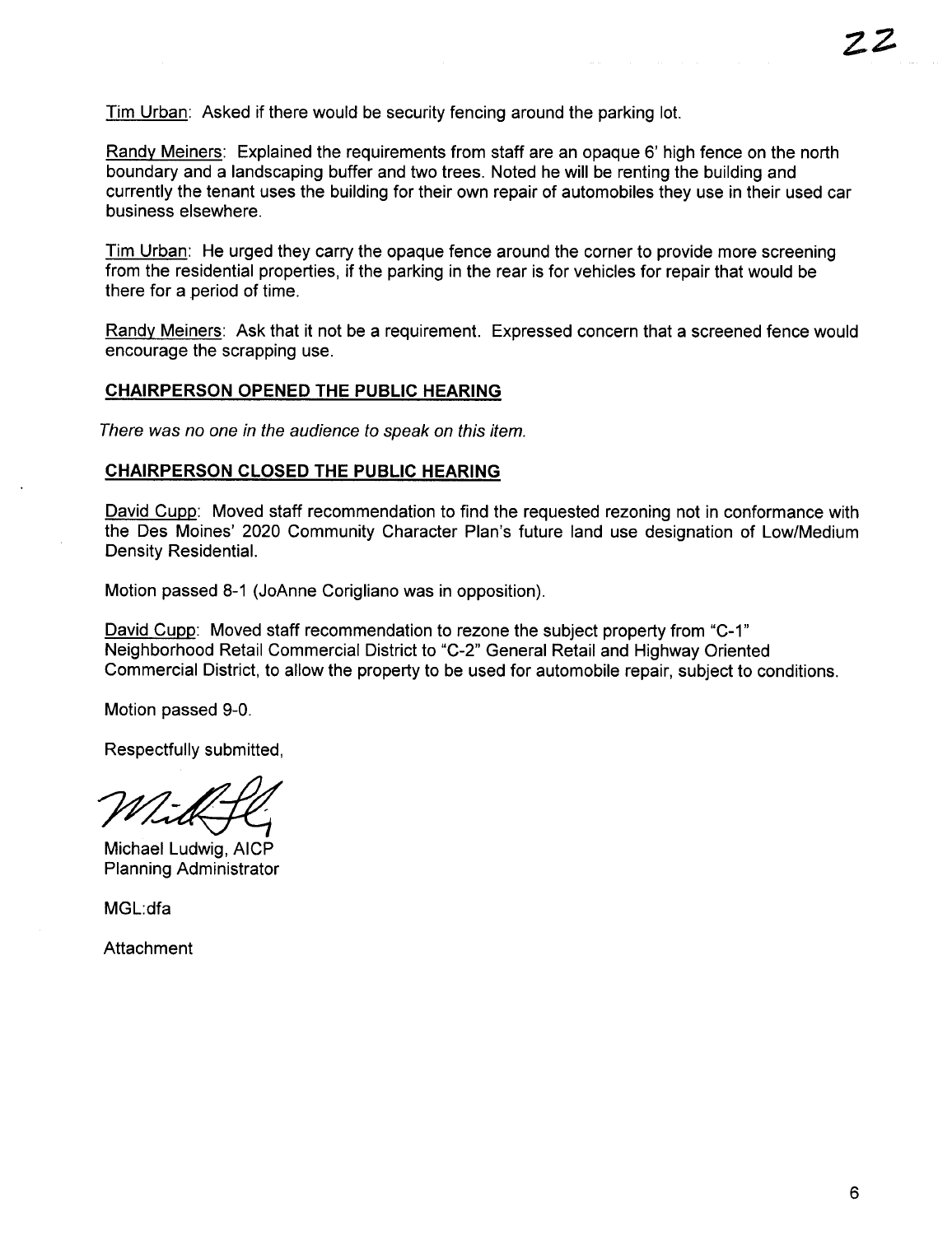Tim Urban: Asked if there would be security fencing around the parking lot.

Randy Meiners: Explained the requirements from staff are an opaque 6' high fence on the north boundary and a landscaping buffer and two trees. Noted he will be renting the building and currently the tenant uses the building for their own repair of automobiles they use in their used car business elsewhere.

Tim Urban: He urged they carry the opaque fence around the corner to provide more screening from the residential properties, if the parking in the rear is for vehicles for repair that would be there for a period of time.

Randy Meiners: Ask that it not be a requirement. Expressed concern that a screened fence would encourage the scrapping use.

#### CHAIRPERSON OPENED THE PUBLIC HEARING

There was no one in the audience to speak on this item.

#### CHAIRPERSON CLOSED THE PUBLIC HEARING

David Cupp: Moved staff recommendation to find the requested rezoning not in conformance with the Des Moines' 2020 Community Character Plan's future land use designation of Low/Medium Density ResidentiaL.

Motion passed 8-1 (JoAnne Corigliano was in opposition).

David Cupp: Moved staff recommendation to rezone the subject property from "C-1" Neighborhood Retail Commercial District to "C-2" General Retail and Highway Oriented Commercial District, to allow the property to be used for automobile repair, subject to conditions.

Motion passed 9-0.

Respectfully submitted,

Mark Hommed

Michael Ludwig, AICP Planning Administrator

MGL:dfa

Attachment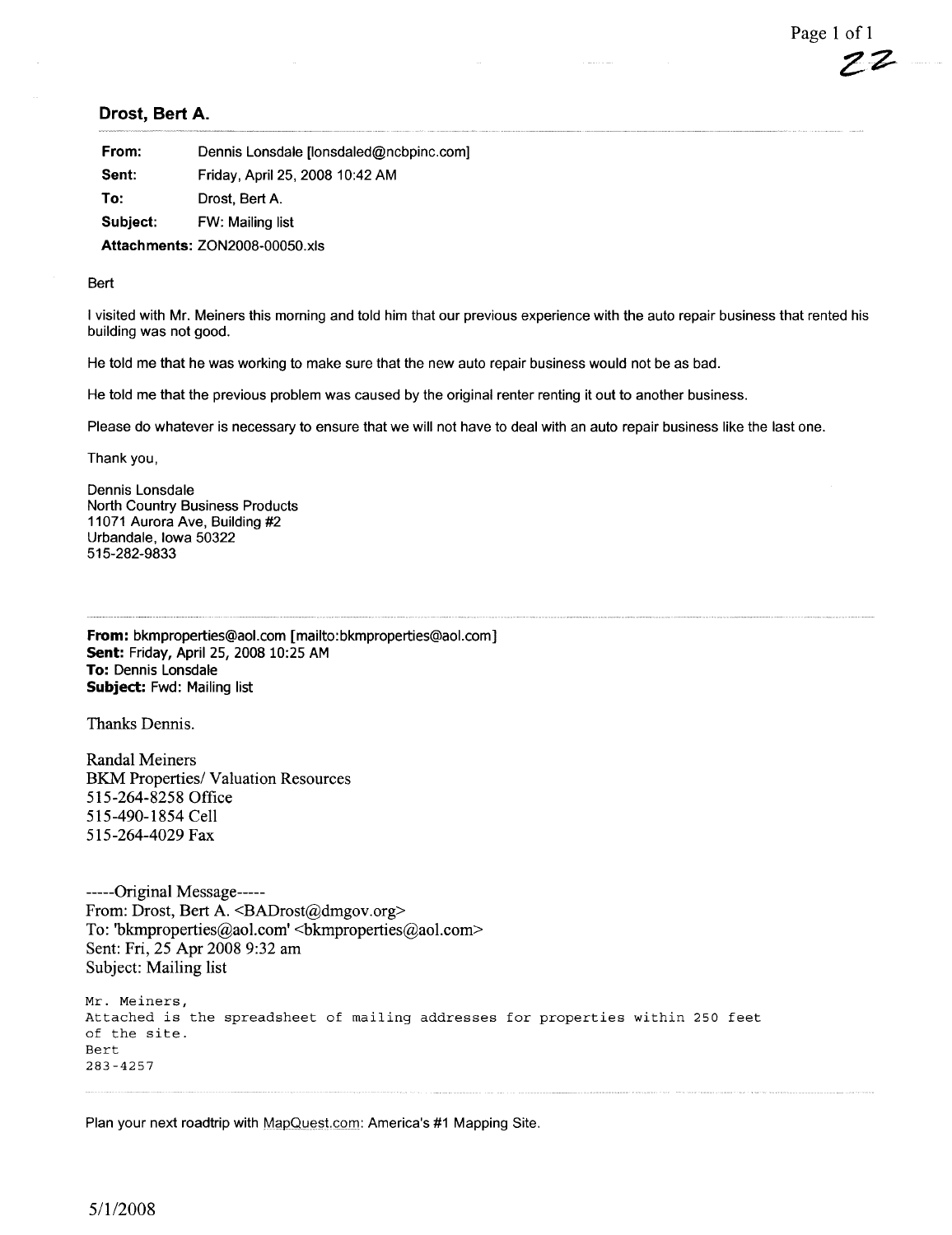#### Drost, Bert A.

| From:    | Dennis Lonsdale [lonsdaled@ncbpinc.com] |
|----------|-----------------------------------------|
| Sent:    | Friday, April 25, 2008 10:42 AM         |
| To:      | Drost, Bert A.                          |
| Subject: | FW: Mailing list                        |
|          | Attachments: ZON2008-00050.xls          |

Bert

i visited with Mr. Meiners this morning and told him that our previous experience with the auto repair business that rented his building was not good.

He told me that he was working to make sure that the new auto repair business would not be as bad.

He told me that the previous problem was caused by the original renter renting it out to another business.

Please do whatever is necessary to ensure that we will not have to deal with an auto repair business like the last one.

Thank you,

Dennis Lonsdale North Country Business Products 11071 Aurora Ave, Building #2 Urbandale, Iowa 50322 515-282-9833

From: bkmproperties@aol.com [mailto:bkmproperties@aol.com] Sent: Friday, April 25, 2008 10:25 AM To: Dennis Lonsdale Subject: Fwd: Mailing list

Thanks Dennis.

Randal Meiners BKM Properties/ Valuation Resources 515-264-8258 Office 515 -490-1854 Cell 515-264-4029 Fax

-----Original Message-----From: Drost, Bert A. < BADrost@dmgov.org> To: 'bkmproperties@aol.com' <br/>bkmproperties@aol.com> Sent: Fri, 25 Apr 2008 9:32 am Subject: Mailing list

Mr. Meiners, Attached is the spreadsheet of mailing addresses for properties within 250 feet of the site. Bert 283 -4257

Plan your next roadtrip with MapQuest.com: America's #1 Mapping Site.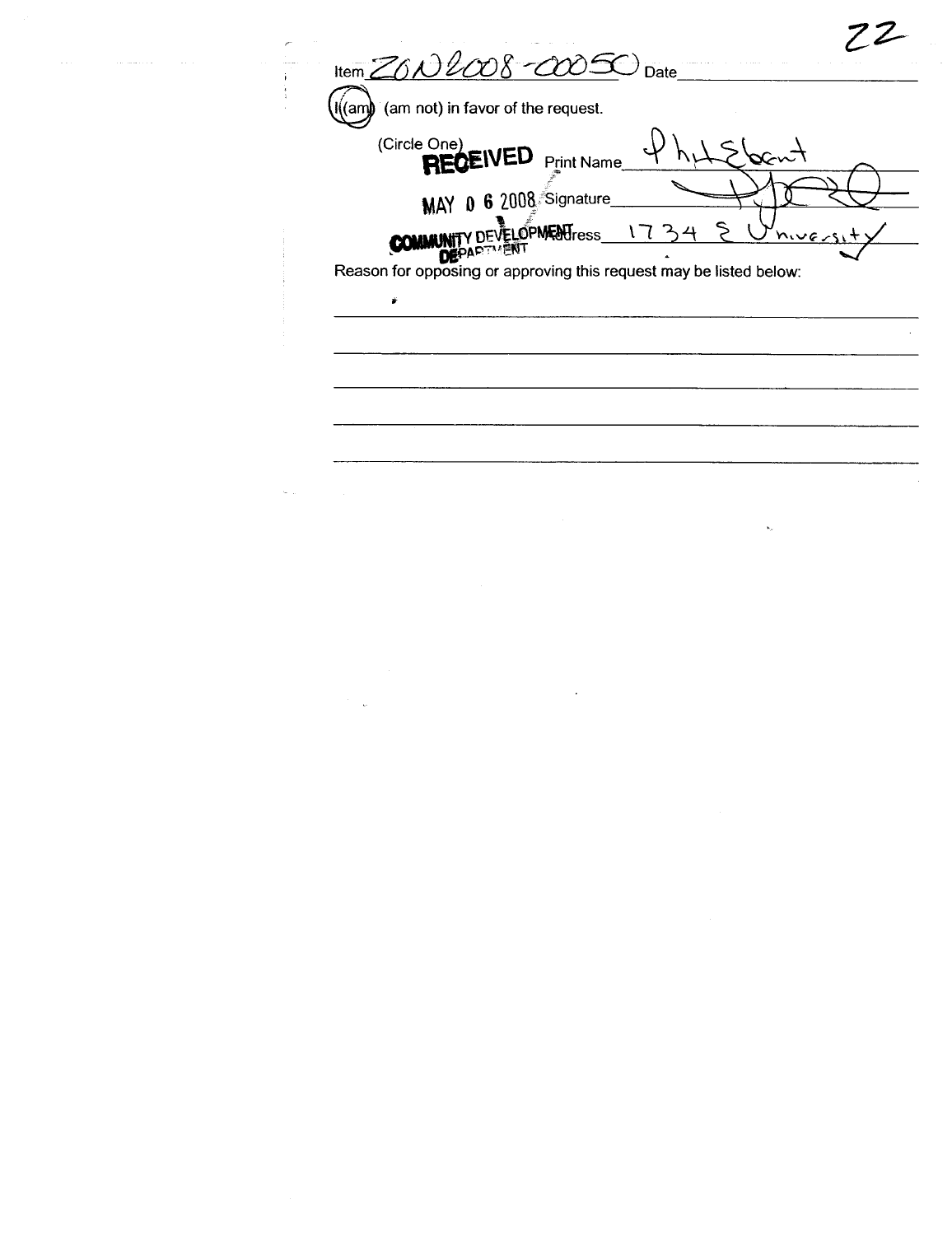| $\frac{1}{20}$ 12008 - 2005 $\frac{1}{20}$ Date<br>(am not) in favor of the request. |
|--------------------------------------------------------------------------------------|
| (Circle One)<br><b>REGEIVED</b> Print Name                                           |
| MAY 0 6 2008 Signature<br><b>COMMUNITY DEVELOPMENT</b> ress_<br>1734<br>Yniversi     |
| Reason for opposing or approving this request may be listed below:<br>÷              |
|                                                                                      |
|                                                                                      |

 $\sim$ 

 $\label{eq:1} \mathbf{v}_{\mu} = \frac{1}{\mu} \sum_{i=1}^{\mu} \frac{1}{\mu_i} \sum_{j=1}^{\mu} \frac{1}{j} \sum_{j=1}^{\mu} \frac{1}{j} \sum_{j=1}^{\mu} \frac{1}{j} \sum_{j=1}^{\mu} \frac{1}{j} \sum_{j=1}^{\mu} \frac{1}{j} \sum_{j=1}^{\mu} \frac{1}{j} \sum_{j=1}^{\mu} \frac{1}{j} \sum_{j=1}^{\mu} \frac{1}{j} \sum_{j=1}^{\mu} \frac{1}{j} \sum_{j=1}^{\mu} \frac$ 

 $\label{eq:3.1} \left\langle \left( \mathbf{a}, \mathbf{a}, \mathbf{a}, \mathbf{a} \right) \right\rangle \left\langle \mathbf{a}, \mathbf{a} \right\rangle \left\langle \mathbf{a}, \mathbf{a} \right\rangle$ 

 $\label{eq:2.1} \mathcal{L}_{\mathcal{A}} = \frac{1}{2} \sum_{i=1}^n \mathcal{L}_{\mathcal{A}} \left( \mathcal{L}_{\mathcal{A}} \right) \mathcal{L}_{\mathcal{A}} \left( \mathcal{L}_{\mathcal{A}} \right)$ 

 $\label{eq:2.1} \frac{1}{\sqrt{2\pi}}\int_{\mathbb{R}^3}\frac{1}{\sqrt{2\pi}}\int_{\mathbb{R}^3}\frac{1}{\sqrt{2\pi}}\int_{\mathbb{R}^3}\frac{1}{\sqrt{2\pi}}\int_{\mathbb{R}^3}\frac{1}{\sqrt{2\pi}}\int_{\mathbb{R}^3}\frac{1}{\sqrt{2\pi}}\int_{\mathbb{R}^3}\frac{1}{\sqrt{2\pi}}\int_{\mathbb{R}^3}\frac{1}{\sqrt{2\pi}}\int_{\mathbb{R}^3}\frac{1}{\sqrt{2\pi}}\int_{\mathbb{R}^3}\frac{1$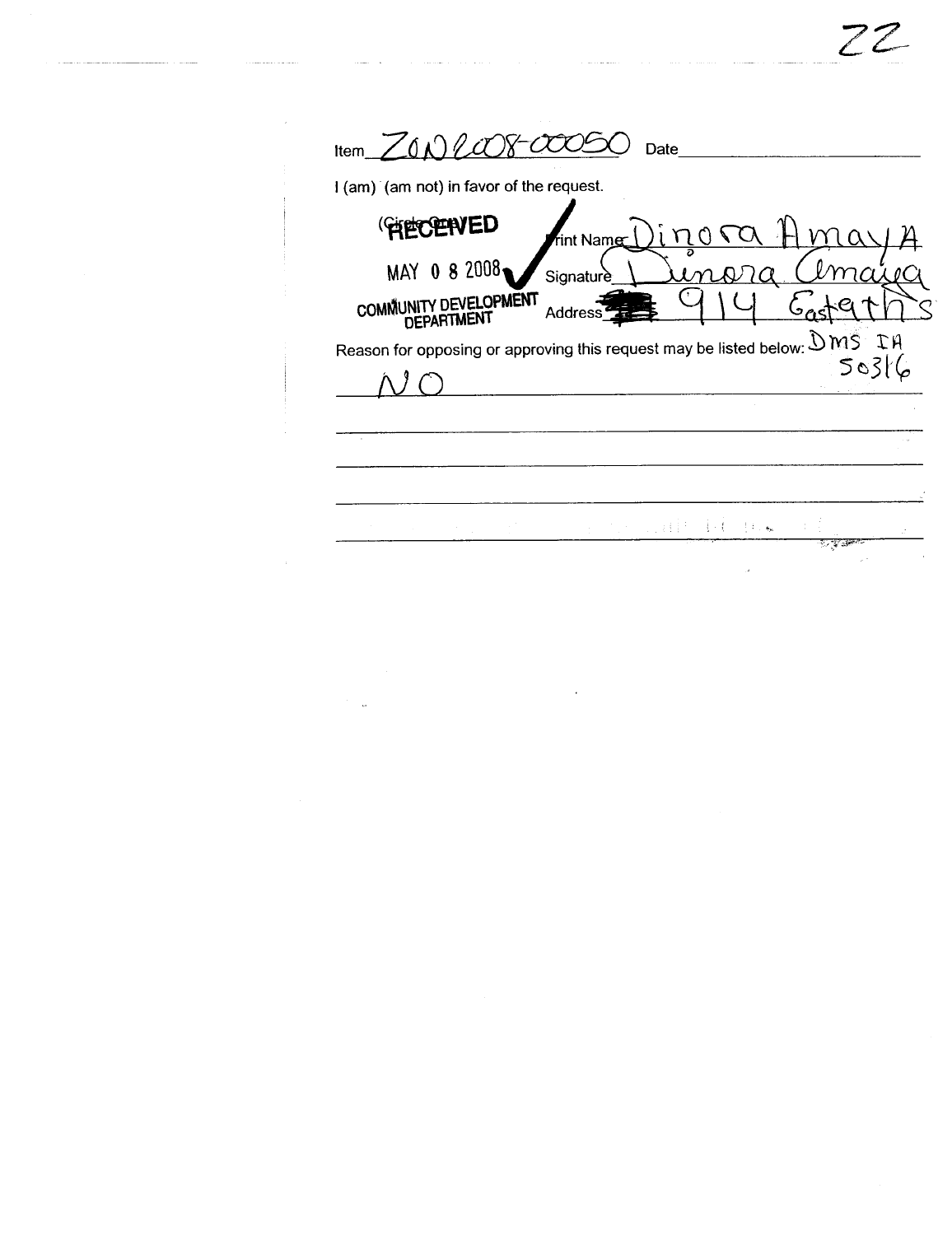| I (am) (am not) in favor of the request.   |                    |                                                                                                                                         |      |
|--------------------------------------------|--------------------|-----------------------------------------------------------------------------------------------------------------------------------------|------|
| <b>CHECENED</b>                            | <b>Trint Namer</b> |                                                                                                                                         |      |
| MAY 0 8 2008                               | Signature          |                                                                                                                                         |      |
| COMMUNITY DEVELOPMENT<br><b>DEPARTMENT</b> | Address            |                                                                                                                                         |      |
|                                            |                    |                                                                                                                                         |      |
|                                            |                    |                                                                                                                                         |      |
|                                            |                    | Reason for opposing or approving this request may be listed below: $\mathcal{D} \mathcal{M} \mathcal{S}^{\top} \mathcal{I} \mathcal{H}$ | 5031 |
|                                            |                    |                                                                                                                                         |      |
|                                            |                    |                                                                                                                                         |      |
|                                            |                    |                                                                                                                                         |      |
|                                            |                    |                                                                                                                                         |      |
|                                            |                    | 的人的 医自民性坏疽病毒                                                                                                                            |      |

 $\label{eq:2.1} \frac{1}{\sqrt{2}}\int_{\mathbb{R}^3}\frac{1}{\sqrt{2}}\left(\frac{1}{\sqrt{2}}\right)^2\frac{1}{\sqrt{2}}\left(\frac{1}{\sqrt{2}}\right)^2\frac{1}{\sqrt{2}}\left(\frac{1}{\sqrt{2}}\right)^2\frac{1}{\sqrt{2}}\left(\frac{1}{\sqrt{2}}\right)^2\frac{1}{\sqrt{2}}\left(\frac{1}{\sqrt{2}}\right)^2.$ 

 $\label{eq:2.1} \frac{1}{\sqrt{2}}\int_{\mathbb{R}^3}\frac{1}{\sqrt{2}}\left(\frac{1}{\sqrt{2}}\right)^2\frac{1}{\sqrt{2}}\left(\frac{1}{\sqrt{2}}\right)^2\frac{1}{\sqrt{2}}\left(\frac{1}{\sqrt{2}}\right)^2\frac{1}{\sqrt{2}}\left(\frac{1}{\sqrt{2}}\right)^2\frac{1}{\sqrt{2}}\left(\frac{1}{\sqrt{2}}\right)^2\frac{1}{\sqrt{2}}\frac{1}{\sqrt{2}}\frac{1}{\sqrt{2}}\frac{1}{\sqrt{2}}\frac{1}{\sqrt{2}}\frac{1}{\sqrt{2}}$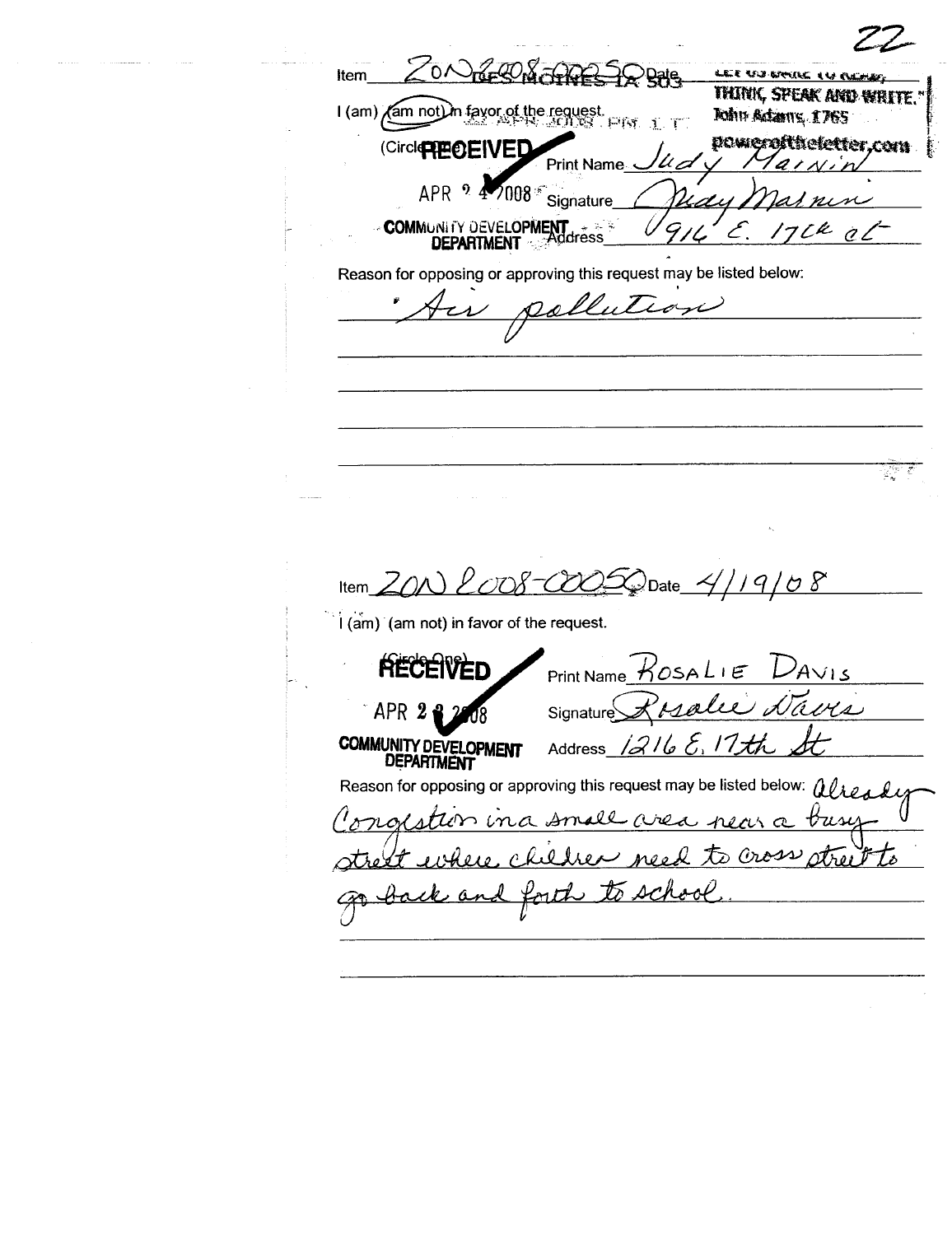ON THE CONTRACTOR BAJE Item LEE UU BRUKE LU NEHEN THINK SPEAK AND WRITE. I (am) (am not) in favor of the request. John Adams, 1765 17449  $\mathbf{T}$ DOWNCONTROLETER\_COM (CircleREOEIVED Print Name  $\boldsymbol{a}$ APR  $47008$ 9 Signature cdu COMMUNITY DEVELOPMENT 'C k Ò. Reason for opposing or approving this request may be listed below: pollution Y ్లి Item  $ZON$   $LOD8 - CD02$   $Date$   $4/19/08$ I (am) (am not) in favor of the request. **AECEIVED** Print Name  $\kappa$ OSALIE  $D_{AVIS}$ Rosalee Davis APR<sub>2</sub> Signature 1216 E. 17th **COMMUNITY DEVELOPMENT** Address Reason for opposing or approving this request may be listed below: alread rolstion in a small area near a tris children need to cross atre forth to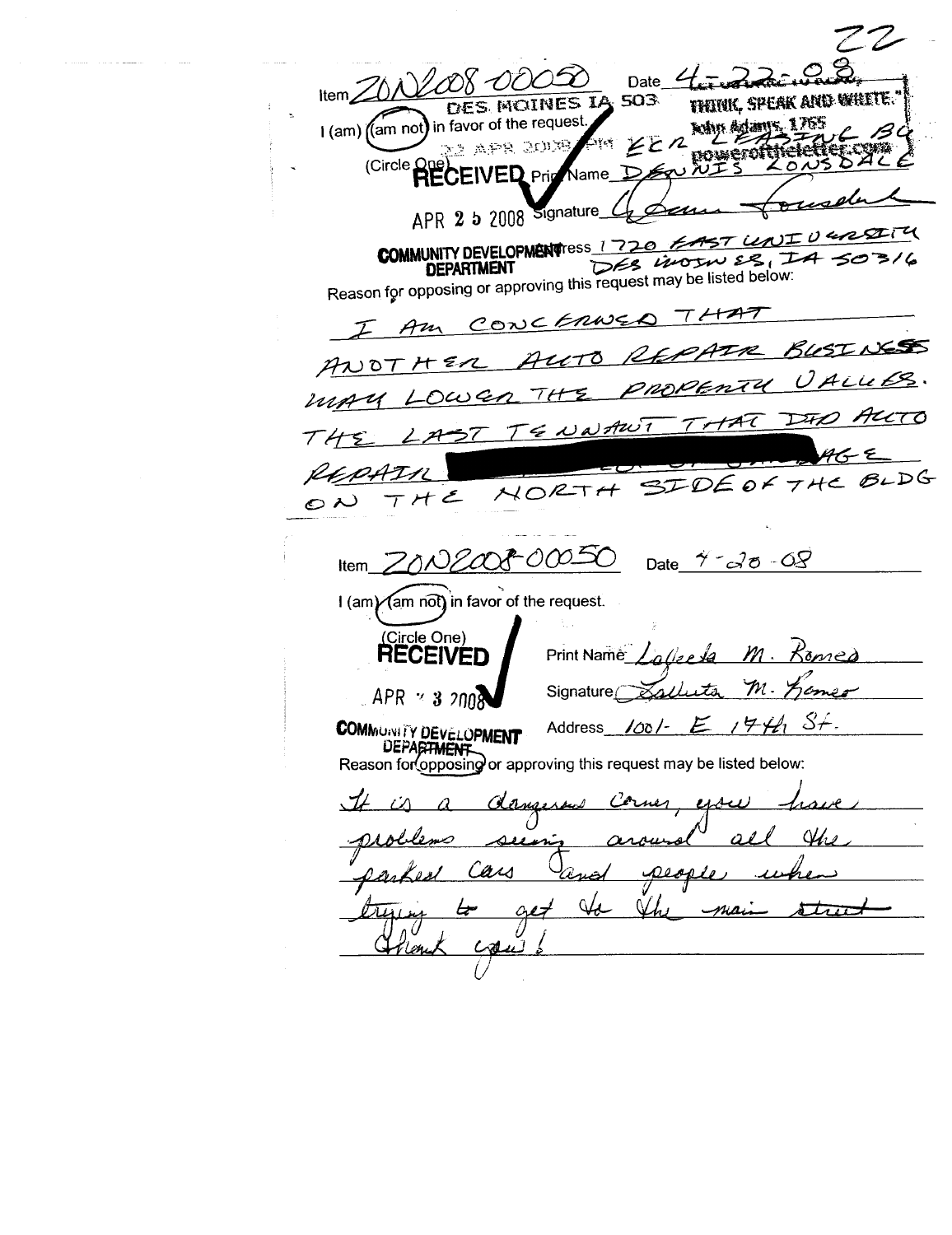77  $HermZONLOS$ Date  $4.$ **THINK, SPEAK AND WRITE.** 503 DES MOINES IA I (am) ((am not) in favor of the request 她绑好地 B  $ZCn$ **DENNIS** 法户贷 dowero (Circle One)<br>RECEIVED  $\triangleright$ Vame APR 2 5 2008 Signature COMMUNITY DEVELOPMENTRESS 1720 FAST UNIT U GREET DES MOIN ES, IA SO316 **DEPARTMENT** Reason for opposing or approving this request may be listed below: CONCERNED THAT Am  $\mathcal{I}$ AUTO REPATR **RUST NESS** ANOTHER UALUES. PROPENTY  $THZ$ DWEN ma ALLTO  $D40$  $TrtAT$  $T \in \mathcal{N}$ a) A $\omega$ T  $LAT$ THE Ş 'L DA 'T Hi SIDE OF THE BLDG NORTH  $T H E$  $\boldsymbol{\mathcal{O}}$   $\boldsymbol{\lambda}$ 2008-00050 Date  $\frac{\partial}{\partial \theta}$  - OS Item I (am) (am not) in favor of the request. (Circle One) RECEIVED Print Name  $\angle$ allze la m  $\mathcal{M}$ . Signature/ يتتلمد Zsil  $APR \times 32008$  $1741$  St. **COMMUNITY DEVELOPMENT**  $1001 - E$ Address Reason for opposing or approving this request may be listed below:  $\sqrt{1}$ Corner  $u$ bel <u> Aamersus</u> have  $\alpha$ arow Q peop Cars aned CL Crew